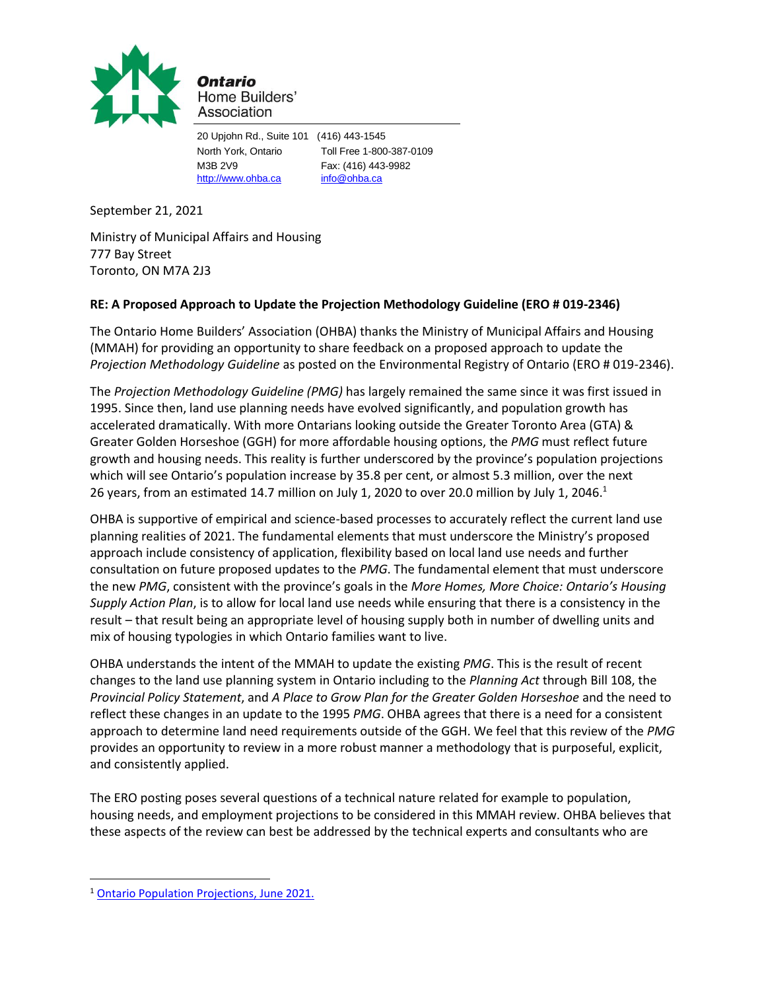

Ontario Home Builders' Association

20 Upjohn Rd., Suite 101 (416) 443-1545 North York, Ontario Toll Free 1-800-387-0109 M3B 2V9 Fax: (416) 443-9982 [http://www.ohba.ca](http://www.ohba.ca/) [info@ohba.ca](mailto:info@ohba.ca)

September 21, 2021

Ministry of Municipal Affairs and Housing 777 Bay Street Toronto, ON M7A 2J3

## **RE: A Proposed Approach to Update the Projection Methodology Guideline (ERO # 019-2346)**

The Ontario Home Builders' Association (OHBA) thanks the Ministry of Municipal Affairs and Housing (MMAH) for providing an opportunity to share feedback on a proposed approach to update the *Projection Methodology Guideline* as posted on the Environmental Registry of Ontario (ERO # 019-2346).

The *Projection Methodology Guideline (PMG)* has largely remained the same since it was first issued in 1995. Since then, land use planning needs have evolved significantly, and population growth has accelerated dramatically. With more Ontarians looking outside the Greater Toronto Area (GTA) & Greater Golden Horseshoe (GGH) for more affordable housing options, the *PMG* must reflect future growth and housing needs. This reality is further underscored by the province's population projections which will see Ontario's population increase by 35.8 per cent, or almost 5.3 million, over the next 26 years, from an estimated 14.7 million on July 1, 2020 to over 20.0 million by July 1, 2046. $<sup>1</sup>$ </sup>

OHBA is supportive of empirical and science-based processes to accurately reflect the current land use planning realities of 2021. The fundamental elements that must underscore the Ministry's proposed approach include consistency of application, flexibility based on local land use needs and further consultation on future proposed updates to the *PMG*. The fundamental element that must underscore the new *PMG*, consistent with the province's goals in the *More Homes, More Choice: Ontario's Housing Supply Action Plan*, is to allow for local land use needs while ensuring that there is a consistency in the result – that result being an appropriate level of housing supply both in number of dwelling units and mix of housing typologies in which Ontario families want to live.

OHBA understands the intent of the MMAH to update the existing *PMG*. This is the result of recent changes to the land use planning system in Ontario including to the *Planning Act* through Bill 108, the *Provincial Policy Statement*, and *A Place to Grow Plan for the Greater Golden Horseshoe* and the need to reflect these changes in an update to the 1995 *PMG*. OHBA agrees that there is a need for a consistent approach to determine land need requirements outside of the GGH. We feel that this review of the *PMG* provides an opportunity to review in a more robust manner a methodology that is purposeful, explicit, and consistently applied.

The ERO posting poses several questions of a technical nature related for example to population, housing needs, and employment projections to be considered in this MMAH review. OHBA believes that these aspects of the review can best be addressed by the technical experts and consultants who are

<sup>&</sup>lt;sup>1</sup> Ontario Population Projections, June 2021.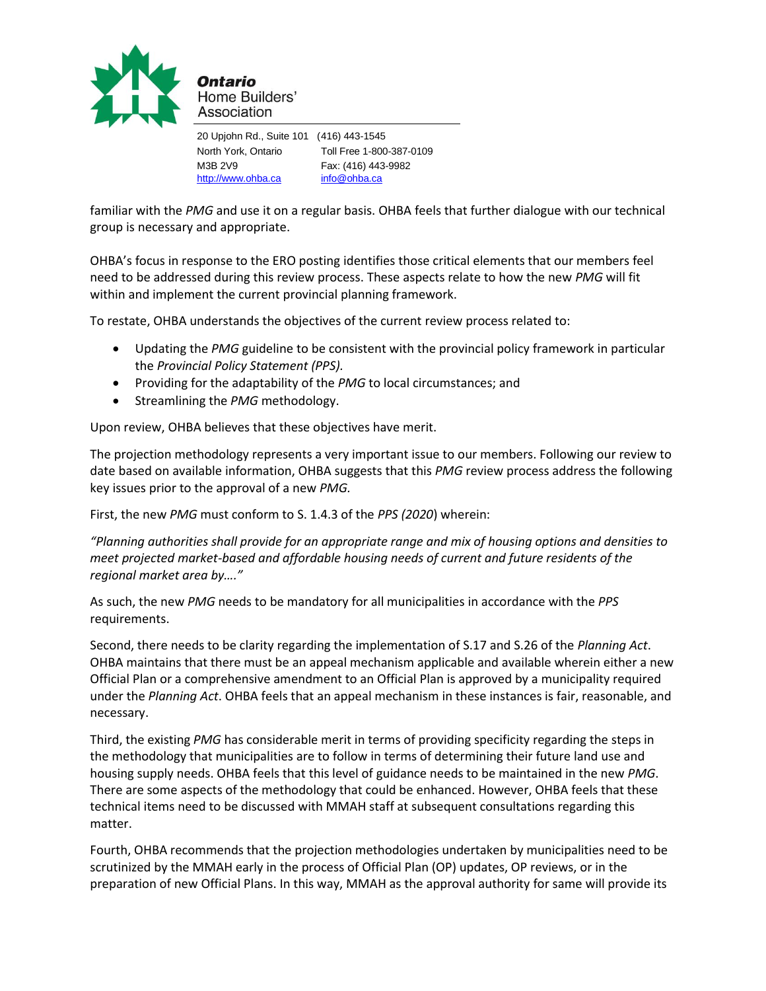

20 Upjohn Rd., Suite 101 (416) 443-1545 North York, Ontario Toll Free 1-800-387-0109 M3B 2V9 Fax: (416) 443-9982 [http://www.ohba.ca](http://www.ohba.ca/) [info@ohba.ca](mailto:info@ohba.ca)

familiar with the *PMG* and use it on a regular basis. OHBA feels that further dialogue with our technical group is necessary and appropriate.

OHBA's focus in response to the ERO posting identifies those critical elements that our members feel need to be addressed during this review process. These aspects relate to how the new *PMG* will fit within and implement the current provincial planning framework.

To restate, OHBA understands the objectives of the current review process related to:

- Updating the *PMG* guideline to be consistent with the provincial policy framework in particular the *Provincial Policy Statement (PPS).*
- Providing for the adaptability of the *PMG* to local circumstances; and
- Streamlining the *PMG* methodology.

Upon review, OHBA believes that these objectives have merit.

The projection methodology represents a very important issue to our members. Following our review to date based on available information, OHBA suggests that this *PMG* review process address the following key issues prior to the approval of a new *PMG.*

First, the new *PMG* must conform to S. 1.4.3 of the *PPS (2020*) wherein:

*"Planning authorities shall provide for an appropriate range and mix of housing options and densities to meet projected market-based and affordable housing needs of current and future residents of the regional market area by…."* 

As such, the new *PMG* needs to be mandatory for all municipalities in accordance with the *PPS* requirements.

Second, there needs to be clarity regarding the implementation of S.17 and S.26 of the *Planning Act*. OHBA maintains that there must be an appeal mechanism applicable and available wherein either a new Official Plan or a comprehensive amendment to an Official Plan is approved by a municipality required under the *Planning Act*. OHBA feels that an appeal mechanism in these instances is fair, reasonable, and necessary.

Third, the existing *PMG* has considerable merit in terms of providing specificity regarding the steps in the methodology that municipalities are to follow in terms of determining their future land use and housing supply needs. OHBA feels that this level of guidance needs to be maintained in the new *PMG*. There are some aspects of the methodology that could be enhanced. However, OHBA feels that these technical items need to be discussed with MMAH staff at subsequent consultations regarding this matter.

Fourth, OHBA recommends that the projection methodologies undertaken by municipalities need to be scrutinized by the MMAH early in the process of Official Plan (OP) updates, OP reviews, or in the preparation of new Official Plans. In this way, MMAH as the approval authority for same will provide its